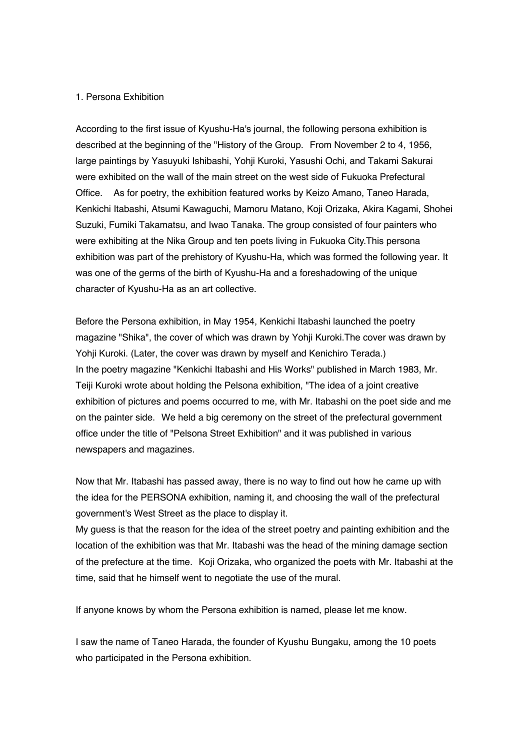## 1. Persona Exhibition

According to the first issue of Kyushu-Ha's journal, the following persona exhibition is described at the beginning of the "History of the Group. From November 2 to 4, 1956, large paintings by Yasuyuki Ishibashi, Yohji Kuroki, Yasushi Ochi, and Takami Sakurai were exhibited on the wall of the main street on the west side of Fukuoka Prefectural Office. As for poetry, the exhibition featured works by Keizo Amano, Taneo Harada, Kenkichi Itabashi, Atsumi Kawaguchi, Mamoru Matano, Koji Orizaka, Akira Kagami, Shohei Suzuki, Fumiki Takamatsu, and Iwao Tanaka. The group consisted of four painters who were exhibiting at the Nika Group and ten poets living in Fukuoka City.This persona exhibition was part of the prehistory of Kyushu-Ha, which was formed the following year. It was one of the germs of the birth of Kyushu-Ha and a foreshadowing of the unique character of Kyushu-Ha as an art collective.

Before the Persona exhibition, in May 1954, Kenkichi Itabashi launched the poetry magazine "Shika", the cover of which was drawn by Yohji Kuroki.The cover was drawn by Yohji Kuroki. (Later, the cover was drawn by myself and Kenichiro Terada.) In the poetry magazine "Kenkichi Itabashi and His Works" published in March 1983, Mr. Teiji Kuroki wrote about holding the Pelsona exhibition, "The idea of a joint creative exhibition of pictures and poems occurred to me, with Mr. Itabashi on the poet side and me on the painter side. We held a big ceremony on the street of the prefectural government office under the title of "Pelsona Street Exhibition" and it was published in various newspapers and magazines.

Now that Mr. Itabashi has passed away, there is no way to find out how he came up with the idea for the PERSONA exhibition, naming it, and choosing the wall of the prefectural government's West Street as the place to display it.

My guess is that the reason for the idea of the street poetry and painting exhibition and the location of the exhibition was that Mr. Itabashi was the head of the mining damage section of the prefecture at the time. Koji Orizaka, who organized the poets with Mr. Itabashi at the time, said that he himself went to negotiate the use of the mural.

If anyone knows by whom the Persona exhibition is named, please let me know.

I saw the name of Taneo Harada, the founder of Kyushu Bungaku, among the 10 poets who participated in the Persona exhibition.